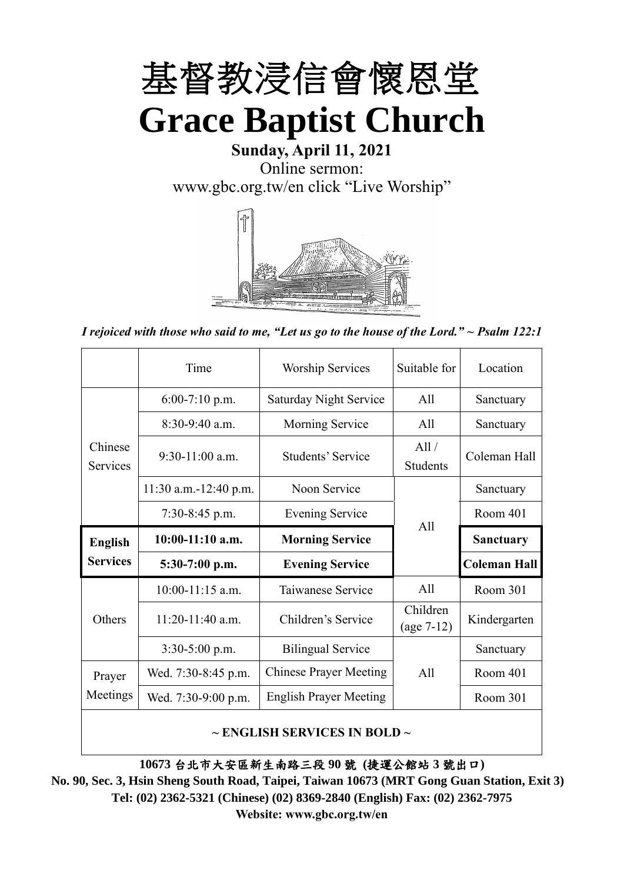

# **Sunday, April 11, 2021** Online sermon: [www.gbc.org.tw/en](http://www.gbc.org.tw/en) click "Live Worship"



*I rejoiced with those who said to me, "Let us go to the house of the Lord." ~ Psalm 122:1*

|                            | Time                  | <b>Worship Services</b>       | Suitable for             | Location            |
|----------------------------|-----------------------|-------------------------------|--------------------------|---------------------|
|                            | $6:00-7:10$ p.m.      | <b>Saturday Night Service</b> | A11                      | Sanctuary           |
|                            | $8:30-9:40$ a.m.      | <b>Morning Service</b>        | All                      | Sanctuary           |
| Chinese<br><b>Services</b> | $9:30-11:00$ a.m.     | Students' Service             | All /<br><b>Students</b> | Coleman Hall        |
|                            | 11:30 a.m.-12:40 p.m. | Noon Service                  |                          | Sanctuary           |
|                            | $7:30-8:45$ p.m.      | <b>Evening Service</b>        |                          | Room 401            |
|                            |                       |                               | All                      |                     |
| <b>English</b>             | $10:00-11:10$ a.m.    | <b>Morning Service</b>        |                          | <b>Sanctuary</b>    |
| <b>Services</b>            | $5:30-7:00$ p.m.      | <b>Evening Service</b>        |                          | <b>Coleman Hall</b> |
|                            | $10:00-11:15$ a.m.    | Taiwanese Service             | A11                      | Room 301            |
| Others                     | $11:20-11:40$ a.m.    | Children's Service            | Children<br>$(age 7-12)$ | Kindergarten        |
|                            | $3:30-5:00$ p.m.      | <b>Bilingual Service</b>      |                          | Sanctuary           |
| Prayer                     | Wed. 7:30-8:45 p.m.   | <b>Chinese Prayer Meeting</b> | A11                      | Room 401            |
| Meetings                   | Wed. 7:30-9:00 p.m.   | <b>English Prayer Meeting</b> |                          | Room 301            |

#### **~ ENGLISH SERVICES IN BOLD ~**

**10673** 台北市大安區新生南路三段 **90** 號 **(**捷運公館站 **3** 號出口**)**

**No. 90, Sec. 3, Hsin Sheng South Road, Taipei, Taiwan 10673 (MRT Gong Guan Station, Exit 3) Tel: (02) 2362-5321 (Chinese) (02) 8369-2840 (English) Fax: (02) 2362-7975 Website: www.gbc.org.tw/en**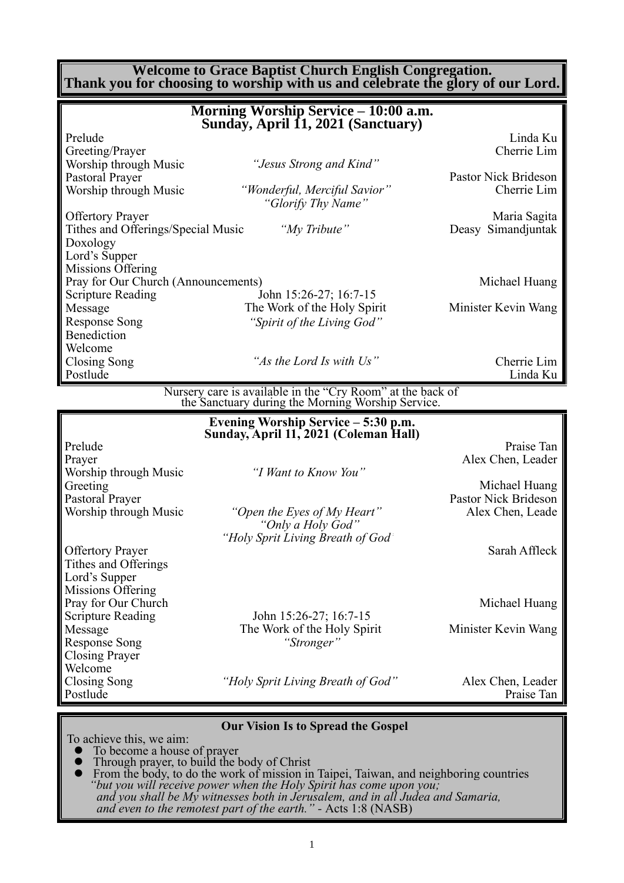#### **Welcome to Grace Baptist Church English Congregation. Thank you for choosing to worship with us and celebrate the glory of our Lord.**

|                                                               | Morning Worship Service - 10:00 a.m.<br>Sunday, April 11, 2021 (Sanctuary)                                      |                                       |
|---------------------------------------------------------------|-----------------------------------------------------------------------------------------------------------------|---------------------------------------|
| Prelude<br>Greeting/Prayer                                    |                                                                                                                 | Linda Ku<br>Cherrie Lim               |
| Worship through Music<br>Pastoral Prayer                      | "Jesus Strong and Kind"                                                                                         | Pastor Nick Brideson                  |
| Worship through Music                                         | "Wonderful, Merciful Savior"<br>"Glorify Thy Name"                                                              | Cherrie Lim                           |
| <b>Offertory Prayer</b><br>Tithes and Offerings/Special Music | "My Tribute"                                                                                                    | Maria Sagita<br>Deasy Simandjuntak    |
| Doxology<br>Lord's Supper<br>Missions Offering                |                                                                                                                 |                                       |
| Pray for Our Church (Announcements)                           |                                                                                                                 | Michael Huang                         |
| <b>Scripture Reading</b><br>Message                           | John 15:26-27; 16:7-15<br>The Work of the Holy Spirit                                                           | Minister Kevin Wang                   |
| <b>Response Song</b><br>Benediction<br>Welcome                | "Spirit of the Living God"                                                                                      |                                       |
| Closing Song<br>Postlude                                      | "As the Lord Is with Us"                                                                                        | Cherrie Lim<br>Linda Ku               |
|                                                               | Nursery care is available in the "Cry Room" at the back of<br>the Sanctuary during the Morning Worship Service. |                                       |
|                                                               |                                                                                                                 |                                       |
|                                                               | Evening Worship Service - 5:30 p.m.                                                                             |                                       |
| Prelude                                                       | Sunday, April 11, 2021 (Coleman Hall)                                                                           | Praise Tan                            |
| Prayer<br>Worship through Music                               | "I Want to Know You"                                                                                            | Alex Chen, Leader                     |
| Greeting                                                      |                                                                                                                 | Michael Huang<br>Pastor Nick Brideson |
| Pastoral Prayer<br>Worship through Music                      | "Open the Eyes of My Heart"<br>"Only a Holy God"                                                                | Alex Chen, Leade                      |
| <b>Offertory Prayer</b>                                       | "Holy Sprit Living Breath of God"                                                                               | Sarah Affleck                         |
| Tithes and Offerings<br>Lord's Supper                         |                                                                                                                 |                                       |
| Missions Offering<br>Pray for Our Church                      |                                                                                                                 | Michael Huang                         |
| <b>Scripture Reading</b><br>Message                           | John 15:26-27; 16:7-15<br>The Work of the Holy Spirit                                                           | Minister Kevin Wang                   |
| <b>Response Song</b><br><b>Closing Prayer</b>                 | "Stronger"                                                                                                      |                                       |
| Welcome<br>Closing Song<br>Postlude                           | "Holy Sprit Living Breath of God"                                                                               | Alex Chen, Leader<br>Praise Tan       |

#### **Our Vision Is to Spread the Gospel**

To achieve this, we aim:

- ⚫ To become a house of prayer
- ⚫ Through prayer, to build the body of Christ
- ⚫ From the body, to do the work of mission in Taipei, Taiwan, and neighboring countries *"but you will receive power when the Holy Spirit has come upon you; and you shall be My witnesses both in Jerusalem, and in all Judea and Samaria, and even to the remotest part of the earth." -* Acts 1:8 (NASB)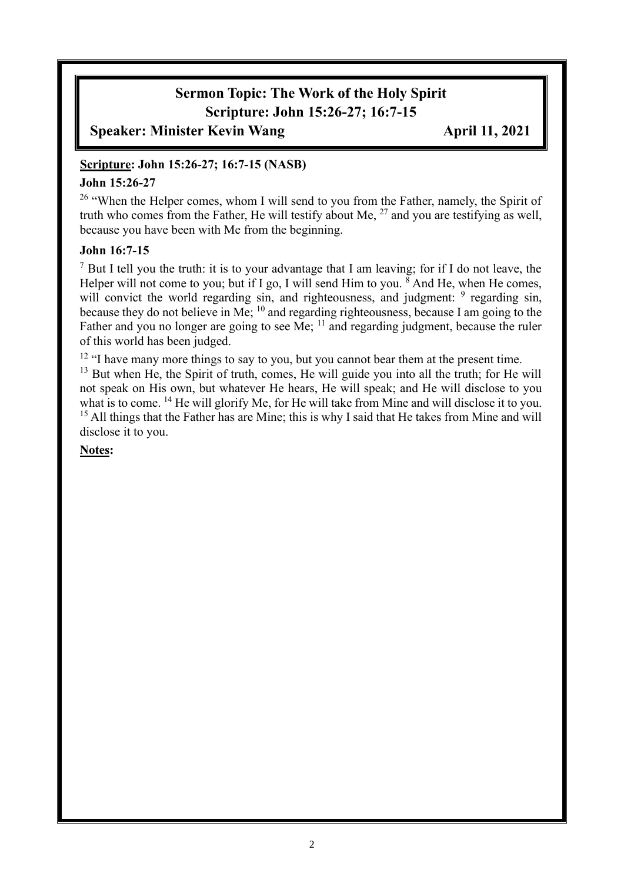# **Sermon Topic: The Work of the Holy Spirit Scripture: John 15:26-27; 16:7-15**

### **Speaker: Minister Kevin Wang** *April 11, 2021*

#### **Scripture: John 15:26-27; 16:7-15 (NASB)**

#### **John 15:26-27**

<sup>26</sup> "When the Helper comes, whom I will send to you from the Father, namely, the Spirit of truth who comes from the Father, He will testify about Me, <sup>27</sup> and you are testifying as well, because you have been with Me from the beginning.

#### **John 16:7-15**

 $<sup>7</sup>$  But I tell you the truth: it is to your advantage that I am leaving; for if I do not leave, the</sup> Helper will not come to you; but if I go, I will send Him to you.  $\frac{8}{3}$  And He, when He comes, will convict the world regarding sin, and righteousness, and judgment: <sup>9</sup> regarding sin, because they do not believe in Me; <sup>10</sup> and regarding righteousness, because I am going to the Father and you no longer are going to see Me; <sup>11</sup> and regarding judgment, because the ruler of this world has been judged.

<sup>12</sup> "I have many more things to say to you, but you cannot bear them at the present time. <sup>13</sup> But when He, the Spirit of truth, comes, He will guide you into all the truth; for He will not speak on His own, but whatever He hears, He will speak; and He will disclose to you what is to come. <sup>14</sup> He will glorify Me, for He will take from Mine and will disclose it to you.  $15$  All things that the Father has are Mine; this is why I said that He takes from Mine and will disclose it to you.

#### **Notes:**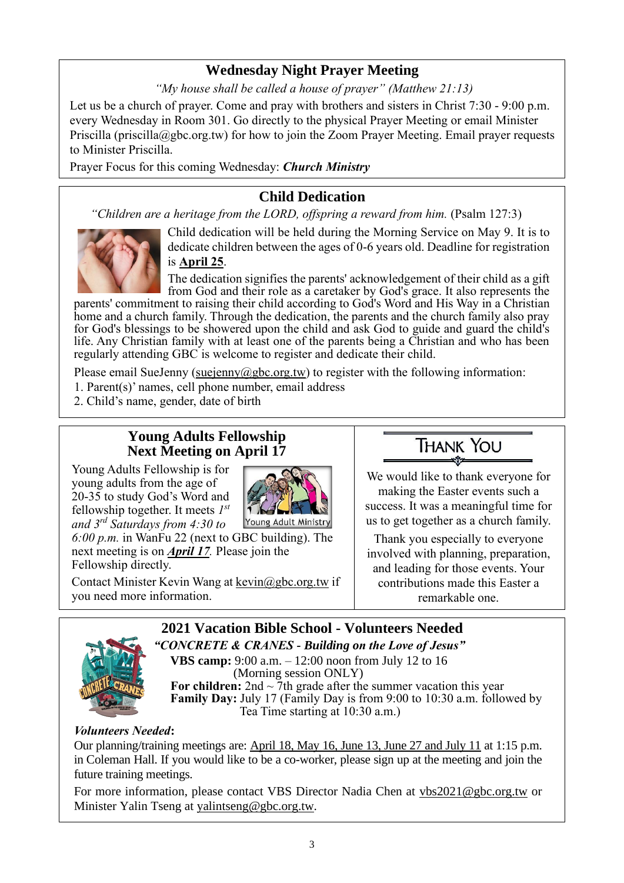# **Wednesday Night Prayer Meeting**

*"My house shall be called a house of prayer" (Matthew 21:13)*

Let us be a church of prayer. Come and pray with brothers and sisters in Christ 7:30 - 9:00 p.m. every Wednesday in Room 301. Go directly to the physical Prayer Meeting or email Minister Priscilla (priscilla@gbc.org.tw) for how to join the Zoom Prayer Meeting. Email prayer requests to Minister Priscilla.

Prayer Focus for this coming Wednesday: *Church Ministry*

# **Child Dedication**

*"Children are a heritage from the LORD, offspring a reward from him.* (Psalm 127:3)



Child dedication will be held during the Morning Service on May 9. It is to dedicate children between the ages of 0-6 years old. Deadline for registration is **April 25**.

The dedication signifies the parents' acknowledgement of their child as a gift from God and their role as a caretaker by God's grace. It also represents the

parents' commitment to raising their child according to God's Word and His Way in a Christian home and a church family. Through the dedication, the parents and the church family also pray for God's blessings to be showered upon the child and ask God to guide and guard the child's life. Any Christian family with at least one of the parents being a Christian and who has been regularly attending GBC is welcome to register and dedicate their child.

Please email SueJenny (suejenny  $(a)$ gbc.org.tw) to register with the following information:

- 1. Parent(s)' names, cell phone number, email address
- 2. Child's name, gender, date of birth

### **Young Adults Fellowship Next Meeting on April 17**

Young Adults Fellowship is for young adults from the age of 20-35 to study God's Word and fellowship together. It meets *1 st and 3rd Saturdays from 4:30 to* 



*6:00 p.m.* in WanFu 22 (next to GBC building). The next meeting is on *April 17.* Please join the Fellowship directly.

Contact Minister Kevin Wang at kevin@gbc.org.tw if you need more information.

# **THANK YOU**

We would like to thank everyone for making the Easter events such a success. It was a meaningful time for us to get together as a church family.

Thank you especially to everyone involved with planning, preparation, and leading for those events. Your contributions made this Easter a remarkable one.

#### **2021 Vacation Bible School - Volunteers Needed** *"CONCRETE & CRANES - Building on the Love of Jesus"*



**VBS camp:** 9:00 a.m. – 12:00 noon from July 12 to 16 (Morning session ONLY) **For children:** 2nd  $\sim$  7th grade after the summer vacation this year **Family Day:** July 17 (Family Day is from 9:00 to 10:30 a.m. followed by Tea Time starting at 10:30 a.m.)

### *Volunteers Needed***:**

Our planning/training meetings are: April 18, May 16, June 13, June 27 and July 11 at 1:15 p.m. in Coleman Hall. If you would like to be a co-worker, please sign up at the meeting and join the future training meetings.

For more information, please contact VBS Director Nadia Chen at [vbs2021@gbc.org.tw](mailto:vbs2021@gbc.org.tw) or Minister Yalin Tseng at yalintseng@gbc.org.tw.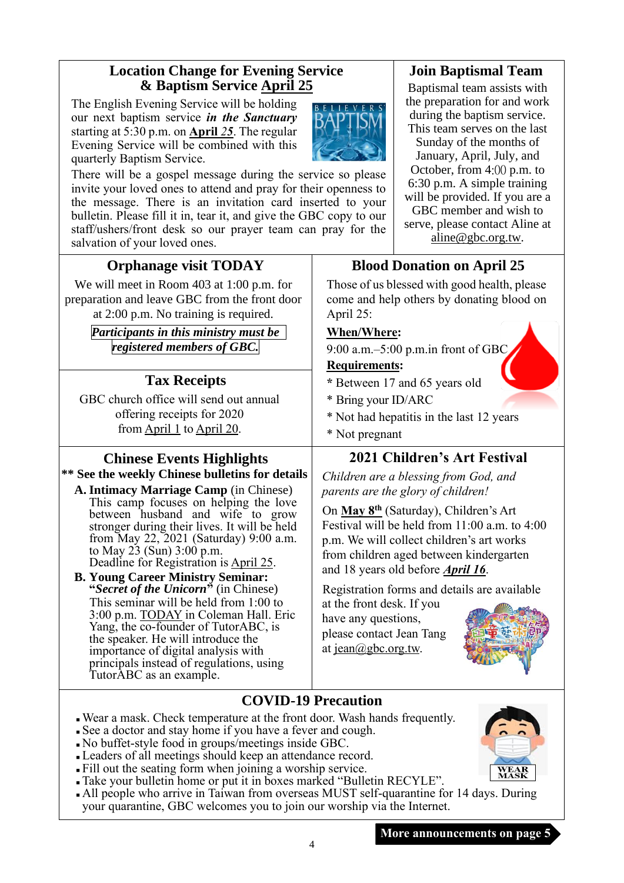### **Location Change for Evening Service & Baptism Service April 25**

The English Evening Service will be holding our next baptism service *in the Sanctuary* starting at 5:30 p.m. on **April** *25*. The regular Evening Service will be combined with this quarterly Baptism Service.



There will be a gospel message during the service so please invite your loved ones to attend and pray for their openness to the message. There is an invitation card inserted to your bulletin. Please fill it in, tear it, and give the GBC copy to our staff/ushers/front desk so our prayer team can pray for the salvation of your loved ones.

# **Orphanage visit TODAY**

We will meet in Room 403 at 1:00 p.m. for preparation and leave GBC from the front door at 2:00 p.m. No training is required.

> *Participants in this ministry must be registered members of GBC.*

# **Tax Receipts**

GBC church office will send out annual offering receipts for 2020 from April 1 to April 20.

# **Chinese Events Highlights**

**\*\* See the weekly Chinese bulletins for details**

- **A. Intimacy Marriage Camp** (in Chinese) This camp focuses on helping the love between husband and wife to grow stronger during their lives. It will be held from May 22, 2021 (Saturday) 9:00 a.m. to May 23 (Sun) 3:00 p.m. Deadline for Registration is April 25.
- **B. Young Career Ministry Seminar: "***Secret of the Unicorn***"** (in Chinese) This seminar will be held from 1:00 to 3:00 p.m. TODAY in Coleman Hall. Eric Yang, the co-founder of TutorABC, is the speaker. He will introduce the importance of digital analysis with principals instead of regulations, using TutorABC as an example.

### **Join Baptismal Team**

Baptismal team assists with the preparation for and work during the baptism service. This team serves on the last

Sunday of the months of January, April, July, and October, from 4:00 p.m. to 6:30 p.m. A simple training will be provided. If you are a GBC member and wish to serve, please contact Aline at aline@gbc.org.tw.

### **Blood Donation on April 25**

Those of us blessed with good health, please come and help others by donating blood on April 25:

#### **When/Where:**

9:00 a.m.–5:00 p.m.in front of GBC

#### **Requirements:**

- **\*** Between 17 and 65 years old
- \* Bring your ID/ARC
- \* Not had hepatitis in the last 12 years
- \* Not pregnant

# **2021 Children's Art Festival**

*Children are a blessing from God, and parents are the glory of children!*

On **May 8th** (Saturday), Children's Art Festival will be held from 11:00 a.m. to 4:00 p.m. We will collect children's art works from children aged between kindergarten and 18 years old before *April 16*.

Registration forms and details are available

at the front desk. If you have any questions, please contact Jean Tang at [jean@gbc.org.tw.](mailto:jean@gbc.org.tw)



### **COVID-19 Precaution**

- <sup>◼</sup> Wear a mask. Check temperature at the front door. Wash hands frequently.
- See a doctor and stay home if you have a fever and cough.
- <sup>◼</sup> No buffet-style food in groups/meetings inside GBC.
- Leaders of all meetings should keep an attendance record.
- <sup>◼</sup> Fill out the seating form when joining a worship service.
- <sup>◼</sup> Take your bulletin home or put it in boxes marked "Bulletin RECYLE".
- All people who arrive in Taiwan from overseas MUST self-quarantine for 14 days. During your quarantine, GBC welcomes you to join our worship via the Internet.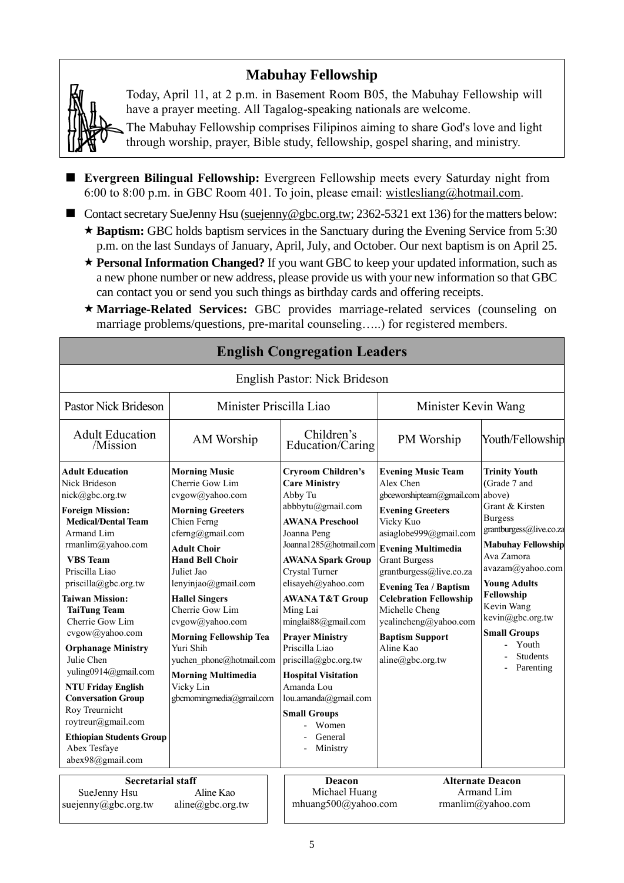# **Mabuhay Fellowship**



Today, April 11, at 2 p.m. in Basement Room B05, the Mabuhay Fellowship will have a prayer meeting. All Tagalog-speaking nationals are welcome.

The Mabuhay Fellowship comprises Filipinos aiming to share God's love and light through worship, prayer, Bible study, fellowship, gospel sharing, and ministry.

- **Evergreen Bilingual Fellowship:** Evergreen Fellowship meets every Saturday night from 6:00 to 8:00 p.m. in GBC Room 401. To join, please email: [wistlesliang@hotmail.com.](mailto:wistlesliang@hotmail.com)
- Contact secretary SueJenny Hsu [\(suejenny@gbc.org.tw;](mailto:suejenny@gbc.org.tw) 2362-5321 ext 136) for the matters below:
	- **Baptism:** GBC holds baptism services in the Sanctuary during the Evening Service from 5:30 p.m. on the last Sundays of January, April, July, and October. Our next baptism is on April 25.
	- **Personal Information Changed?** If you want GBC to keep your updated information, such as a new phone number or new address, please provide us with your new information so that GBC can contact you or send you such things as birthday cards and offering receipts.
	- **Marriage-Related Services:** GBC provides marriage-related services (counseling on marriage problems/questions, pre-marital counseling…..) for registered members.

| <b>English Congregation Leaders</b>                                                                                                                                                                                                                                                                                                                                                                                                                                                                                                                    |                                                                                                                                                                                                                                                                                                                                                                                                                               |  |                                                                                                                                                                                                                                                                                                                                                                                                                                                                                          |                                                                                                                                                                                                                                                                                                                                                                                                     |                                                                                                                                                                                                                                                                                                            |
|--------------------------------------------------------------------------------------------------------------------------------------------------------------------------------------------------------------------------------------------------------------------------------------------------------------------------------------------------------------------------------------------------------------------------------------------------------------------------------------------------------------------------------------------------------|-------------------------------------------------------------------------------------------------------------------------------------------------------------------------------------------------------------------------------------------------------------------------------------------------------------------------------------------------------------------------------------------------------------------------------|--|------------------------------------------------------------------------------------------------------------------------------------------------------------------------------------------------------------------------------------------------------------------------------------------------------------------------------------------------------------------------------------------------------------------------------------------------------------------------------------------|-----------------------------------------------------------------------------------------------------------------------------------------------------------------------------------------------------------------------------------------------------------------------------------------------------------------------------------------------------------------------------------------------------|------------------------------------------------------------------------------------------------------------------------------------------------------------------------------------------------------------------------------------------------------------------------------------------------------------|
|                                                                                                                                                                                                                                                                                                                                                                                                                                                                                                                                                        |                                                                                                                                                                                                                                                                                                                                                                                                                               |  | English Pastor: Nick Brideson                                                                                                                                                                                                                                                                                                                                                                                                                                                            |                                                                                                                                                                                                                                                                                                                                                                                                     |                                                                                                                                                                                                                                                                                                            |
| <b>Pastor Nick Brideson</b><br>Minister Priscilla Liao                                                                                                                                                                                                                                                                                                                                                                                                                                                                                                 |                                                                                                                                                                                                                                                                                                                                                                                                                               |  | Minister Kevin Wang                                                                                                                                                                                                                                                                                                                                                                                                                                                                      |                                                                                                                                                                                                                                                                                                                                                                                                     |                                                                                                                                                                                                                                                                                                            |
| <b>Adult Education</b><br>/Mission                                                                                                                                                                                                                                                                                                                                                                                                                                                                                                                     | AM Worship                                                                                                                                                                                                                                                                                                                                                                                                                    |  | Children's<br>Education/Caring                                                                                                                                                                                                                                                                                                                                                                                                                                                           | PM Worship                                                                                                                                                                                                                                                                                                                                                                                          | Youth/Fellowship                                                                                                                                                                                                                                                                                           |
| <b>Adult Education</b><br>Nick Brideson<br>nick@gbc.org.tw<br><b>Foreign Mission:</b><br><b>Medical/Dental Team</b><br>Armand Lim<br>rmanlim@yahoo.com<br><b>VBS</b> Team<br>Priscilla Liao<br>priscilla@gbc.org.tw<br><b>Taiwan Mission:</b><br><b>TaiTung Team</b><br>Cherrie Gow Lim<br>cvgow@yahoo.com<br><b>Orphanage Ministry</b><br>Julie Chen<br>yuling0914@gmail.com<br><b>NTU Friday English</b><br><b>Conversation Group</b><br>Roy Treurnicht<br>roytreur@gmail.com<br><b>Ethiopian Students Group</b><br>Abex Tesfaye<br>abex98@gmail.com | <b>Morning Music</b><br>Cherrie Gow Lim<br>cvgow@yahoo.com<br><b>Morning Greeters</b><br>Chien Ferng<br>cferng@gmail.com<br><b>Adult Choir</b><br><b>Hand Bell Choir</b><br>Juliet Jao<br>lenyinjao@gmail.com<br><b>Hallel Singers</b><br>Cherrie Gow Lim<br>cvgow@yahoo.com<br><b>Morning Fellowship Tea</b><br>Yuri Shih<br>yuchen phone@hotmail.com<br><b>Morning Multimedia</b><br>Vicky Lin<br>gbcmorningmedia@gmail.com |  | <b>Cryroom Children's</b><br><b>Care Ministry</b><br>Abby Tu<br>abbbytu@gmail.com<br><b>AWANA Preschool</b><br>Joanna Peng<br>Joanna1285@hotmail.com<br><b>AWANA Spark Group</b><br>Crystal Turner<br>elisayeh@yahoo.com<br><b>AWANA T&amp;T Group</b><br>Ming Lai<br>minglai88@gmail.com<br><b>Prayer Ministry</b><br>Priscilla Liao<br>priscilla@gbc.org.tw<br><b>Hospital Visitation</b><br>Amanda Lou<br>lou.amanda@gmail.com<br><b>Small Groups</b><br>Women<br>General<br>Ministry | <b>Evening Music Team</b><br>Alex Chen<br>gbceworshipteam@gmail.com above)<br><b>Evening Greeters</b><br>Vicky Kuo<br>asiaglobe999@gmail.com<br><b>Evening Multimedia</b><br><b>Grant Burgess</b><br>grantburgess@live.co.za<br><b>Evening Tea / Baptism</b><br><b>Celebration Fellowship</b><br>Michelle Cheng<br>yealincheng@yahoo.com<br><b>Baptism Support</b><br>Aline Kao<br>aline@gbc.org.tw | <b>Trinity Youth</b><br>(Grade 7 and<br>Grant & Kirsten<br><b>Burgess</b><br>grantburgess@live.co.za<br><b>Mabuhay Fellowship</b><br>Ava Zamora<br>avazam@yahoo.com<br><b>Young Adults</b><br>Fellowship<br>Kevin Wang<br>kevin@gbc.org.tw<br><b>Small Groups</b><br>Youth<br><b>Students</b><br>Parenting |
| <b>Secretarial staff</b><br>SueJenny Hsu<br>suejenny@gbc.org.tw                                                                                                                                                                                                                                                                                                                                                                                                                                                                                        | Aline Kao<br>$aline(\theta)$ gbc.org.tw                                                                                                                                                                                                                                                                                                                                                                                       |  | <b>Deacon</b><br>Michael Huang<br>mhuang500@yahoo.com                                                                                                                                                                                                                                                                                                                                                                                                                                    |                                                                                                                                                                                                                                                                                                                                                                                                     | <b>Alternate Deacon</b><br>Armand Lim<br>rmanlim@yahoo.com                                                                                                                                                                                                                                                 |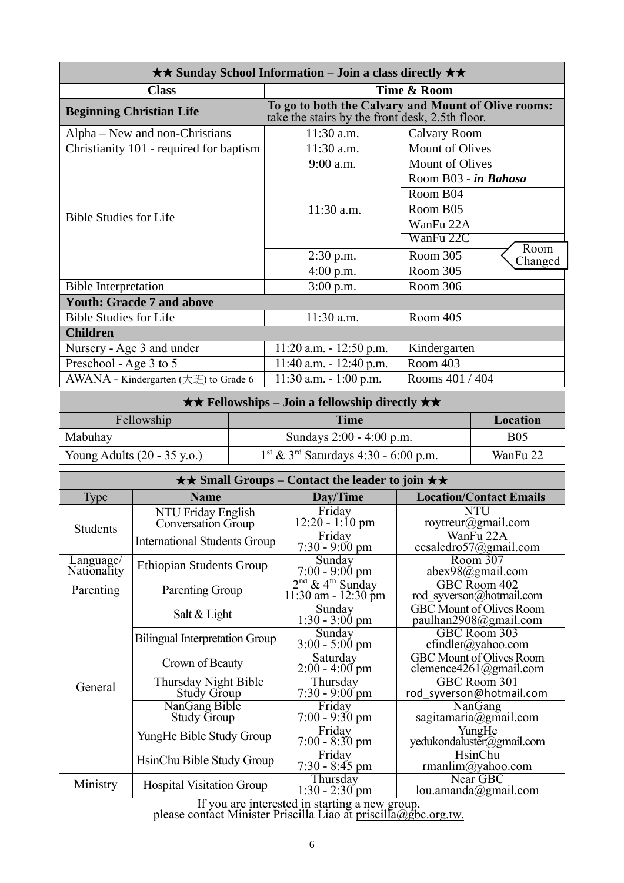| $\star\star$ Sunday School Information – Join a class directly $\star\star$ |                                                                                                        |                             |  |  |
|-----------------------------------------------------------------------------|--------------------------------------------------------------------------------------------------------|-----------------------------|--|--|
| <b>Class</b>                                                                | Time & Room                                                                                            |                             |  |  |
| <b>Beginning Christian Life</b>                                             | To go to both the Calvary and Mount of Olive rooms:<br>take the stairs by the front desk, 2.5th floor. |                             |  |  |
| Alpha – New and non-Christians                                              | 11:30 a.m.                                                                                             | <b>Calvary Room</b>         |  |  |
| Christianity 101 - required for baptism                                     | 11:30 a.m.                                                                                             | <b>Mount of Olives</b>      |  |  |
|                                                                             | 9:00 a.m.                                                                                              | <b>Mount of Olives</b>      |  |  |
|                                                                             |                                                                                                        | Room B03 - in Bahasa        |  |  |
|                                                                             | $11:30$ a.m.                                                                                           | Room B04                    |  |  |
| <b>Bible Studies for Life</b>                                               |                                                                                                        | Room B05                    |  |  |
|                                                                             |                                                                                                        | WanFu 22A                   |  |  |
|                                                                             |                                                                                                        | WanFu 22C                   |  |  |
|                                                                             | $2:30$ p.m.                                                                                            | Room<br>Room 305<br>Changed |  |  |
|                                                                             | $4:00$ p.m.                                                                                            | Room 305                    |  |  |
| <b>Bible Interpretation</b>                                                 | $3:00$ p.m.                                                                                            | Room 306                    |  |  |
| <b>Youth: Gracde 7 and above</b>                                            |                                                                                                        |                             |  |  |
| <b>Bible Studies for Life</b>                                               | 11:30 a.m.                                                                                             | Room 405                    |  |  |
| <b>Children</b>                                                             |                                                                                                        |                             |  |  |
| Nursery - Age 3 and under                                                   | $11:20$ a.m. $-12:50$ p.m.                                                                             | Kindergarten                |  |  |
| Preschool - Age 3 to 5                                                      | $11:40$ a.m. $-12:40$ p.m.                                                                             | Room 403                    |  |  |
| AWANA - Kindergarten $(\pm \text{H})$ to Grade 6                            | $11:30$ a.m. $-1:00$ p.m.                                                                              | Rooms 401 / 404             |  |  |

| $\star \star$ Fellowships – Join a fellowship directly $\star \star$ |                                                    |            |  |
|----------------------------------------------------------------------|----------------------------------------------------|------------|--|
| Fellowship                                                           | <b>Time</b>                                        | Location   |  |
| Mabuhay                                                              | Sundays $2:00 - 4:00$ p.m.                         | <b>B05</b> |  |
| Young Adults $(20 - 35 \text{ y.o.})$                                | $1st$ & 3 <sup>rd</sup> Saturdays 4:30 - 6:00 p.m. | WanFu 22   |  |

| $\star\star$ Small Groups – Contact the leader to join $\star\star$                                               |                                            |                                                       |                                                                  |  |
|-------------------------------------------------------------------------------------------------------------------|--------------------------------------------|-------------------------------------------------------|------------------------------------------------------------------|--|
| <b>Type</b>                                                                                                       | <b>Name</b>                                | Day/Time                                              | <b>Location/Contact Emails</b>                                   |  |
| <b>Students</b>                                                                                                   | NTU Friday English<br>Conversation Group   | Friday<br>$12:20 - 1:10 \text{ pm}$                   | <b>NTU</b><br>roytreur@gmail.com                                 |  |
|                                                                                                                   | <b>International Students Group</b>        | Friday<br>$7:30 - 9:00 \text{ pm}$                    | WanFu 22A<br>cesaledro57@gmail.com                               |  |
| Language/<br>Nationality                                                                                          | <b>Ethiopian Students Group</b>            | Sunday<br>$7:00 - 9:00$ pm                            | Room 307<br>abex98@gmail.com                                     |  |
| Parenting                                                                                                         | Parenting Group                            | $2nd$ & 4 <sup>th</sup> Sunday<br>11:30 am - 12:30 pm | GBC Room 402<br>rod syverson@hotmail.com                         |  |
|                                                                                                                   | Salt $&$ Light                             | Sunday<br>$1:30 - 3:00$ pm                            | <b>GBC Mount of Olives Room</b><br>paulhan2908@gmail.com         |  |
|                                                                                                                   | <b>Bilingual Interpretation Group</b>      | Sunday<br>$3:00 - 5:00$ pm                            | GBC Room 303<br>cfindler@yahoo.com                               |  |
|                                                                                                                   | Crown of Beauty                            | Saturday<br>$2:00 - 4:00$ pm                          | <b>GBC</b> Mount of Olives Room<br>clemence $4261$ (a) gmail.com |  |
| General                                                                                                           | Thursday Night Bible<br><b>Study Group</b> | Thursday<br>$7:30 - 9:00$ pm                          | GBC Room 301<br>rod syverson@hotmail.com                         |  |
|                                                                                                                   | NanGang Bible<br><b>Study Group</b>        | Friday<br>$7:00 - 9:30$ pm                            | NanGang<br>sagitamaria@gmail.com                                 |  |
|                                                                                                                   | YungHe Bible Study Group                   | Friday<br>$7:00 - 8:30$ pm                            | YungHe<br>yedukondaluster@gmail.com                              |  |
|                                                                                                                   | HsinChu Bible Study Group                  | Friday<br>$7:30 - 8:45$ pm                            | HsinChu<br>rmanlim@yahoo.com                                     |  |
| Ministry                                                                                                          | <b>Hospital Visitation Group</b>           | Thursday<br>$1:30 - 2:30$ pm                          | Near GBC<br>lou.amanda@gmail.com                                 |  |
| If you are interested in starting a new group,<br>please contact Minister Priscilla Liao at priscilla@gbc.org.tw. |                                            |                                                       |                                                                  |  |